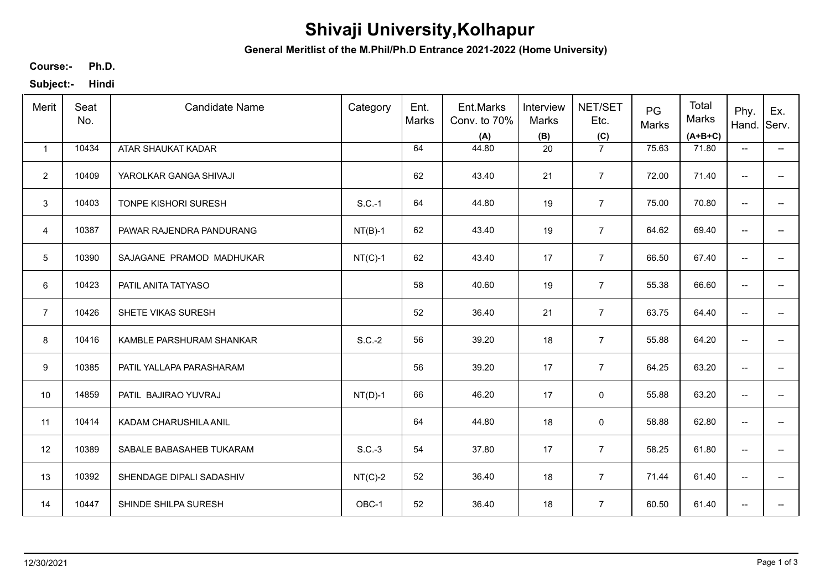## **Shivaji University,Kolhapur**

**General Meritlist of the M.Phil/Ph.D Entrance 2021-2022 (Home University)**

**Ph.D. Course:-**

**Subject:- Hindi**

| Merit           | Seat<br>No. | <b>Candidate Name</b>    | Category  | Ent.<br>Marks | Ent.Marks<br>Conv. to 70%<br>(A) | Interview<br>Marks<br>(B) | NET/SET<br>Etc.<br>(C) | PG<br>Marks | Total<br>Marks<br>$(A+B+C)$ | Phy.<br>Hand.                       | Ex.<br>Serv.             |
|-----------------|-------------|--------------------------|-----------|---------------|----------------------------------|---------------------------|------------------------|-------------|-----------------------------|-------------------------------------|--------------------------|
| $\mathbf{1}$    | 10434       | ATAR SHAUKAT KADAR       |           | 64            | 44.80                            | 20                        | $\overline{7}$         | 75.63       | 71.80                       | $\overline{\phantom{a}}$            | $\overline{\phantom{a}}$ |
| $\overline{2}$  | 10409       | YAROLKAR GANGA SHIVAJI   |           | 62            | 43.40                            | 21                        | $\overline{7}$         | 72.00       | 71.40                       | $\overline{\phantom{a}}$            | -−                       |
| 3               | 10403       | TONPE KISHORI SURESH     | $S.C.-1$  | 64            | 44.80                            | 19                        | $\overline{7}$         | 75.00       | 70.80                       | $\overline{\phantom{a}}$            | $- -$                    |
| 4               | 10387       | PAWAR RAJENDRA PANDURANG | $NT(B)-1$ | 62            | 43.40                            | 19                        | $\overline{7}$         | 64.62       | 69.40                       | $\overline{\phantom{a}}$            | $\overline{\phantom{a}}$ |
| $5\phantom{.0}$ | 10390       | SAJAGANE PRAMOD MADHUKAR | $NT(C)-1$ | 62            | 43.40                            | 17                        | $\overline{7}$         | 66.50       | 67.40                       | $\overline{\phantom{m}}$            | $\overline{\phantom{a}}$ |
| 6               | 10423       | PATIL ANITA TATYASO      |           | 58            | 40.60                            | 19                        | $\overline{7}$         | 55.38       | 66.60                       | $\overline{\phantom{a}}$            | $\overline{\phantom{a}}$ |
| $\overline{7}$  | 10426       | SHETE VIKAS SURESH       |           | 52            | 36.40                            | 21                        | $\overline{7}$         | 63.75       | 64.40                       | $\overline{\phantom{a}}$            | $-$                      |
| 8               | 10416       | KAMBLE PARSHURAM SHANKAR | $S.C.-2$  | 56            | 39.20                            | 18                        | $\overline{7}$         | 55.88       | 64.20                       | $\overline{\phantom{a}}$            | $\overline{\phantom{a}}$ |
| 9               | 10385       | PATIL YALLAPA PARASHARAM |           | 56            | 39.20                            | 17                        | $\overline{7}$         | 64.25       | 63.20                       | $\overline{\phantom{a}}$            | $\overline{a}$           |
| 10              | 14859       | PATIL BAJIRAO YUVRAJ     | $NT(D)-1$ | 66            | 46.20                            | 17                        | $\pmb{0}$              | 55.88       | 63.20                       | $\overline{\phantom{a}}$            | $-$                      |
| 11              | 10414       | KADAM CHARUSHILA ANIL    |           | 64            | 44.80                            | 18                        | $\pmb{0}$              | 58.88       | 62.80                       | $\overline{\phantom{a}}$            | $\overline{\phantom{a}}$ |
| 12              | 10389       | SABALE BABASAHEB TUKARAM | $S.C.-3$  | 54            | 37.80                            | 17                        | $\overline{7}$         | 58.25       | 61.80                       | $\overline{\phantom{a}}$            | $\overline{\phantom{a}}$ |
| 13              | 10392       | SHENDAGE DIPALI SADASHIV | $NT(C)-2$ | 52            | 36.40                            | 18                        | $\overline{7}$         | 71.44       | 61.40                       | $\overline{\phantom{a}}$            | $\overline{\phantom{a}}$ |
| 14              | 10447       | SHINDE SHILPA SURESH     | OBC-1     | 52            | 36.40                            | 18                        | $\overline{7}$         | 60.50       | 61.40                       | $\hspace{0.05cm}$ $\hspace{0.05cm}$ | ÷                        |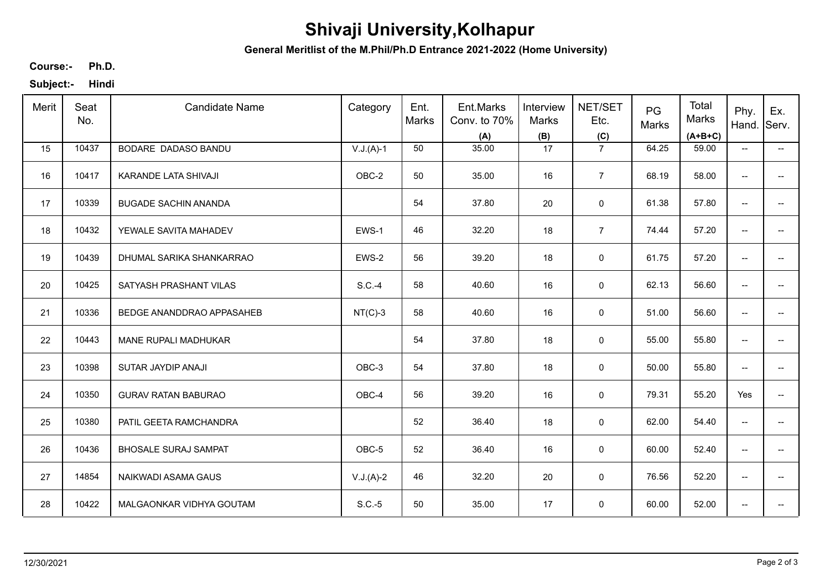## **Shivaji University,Kolhapur**

**General Meritlist of the M.Phil/Ph.D Entrance 2021-2022 (Home University)**

**Ph.D. Course:-**

**Subject:- Hindi**

| Merit | Seat<br>No. | <b>Candidate Name</b>            | Category    | Ent.<br>Marks | Ent.Marks<br>Conv. to 70%<br>(A) | Interview<br>Marks<br>(B) | NET/SET<br>Etc.<br>(C) | PG<br>Marks | Total<br>Marks<br>$(A+B+C)$ | Phy.<br>Hand.                       | Ex.<br>Serv.             |
|-------|-------------|----------------------------------|-------------|---------------|----------------------------------|---------------------------|------------------------|-------------|-----------------------------|-------------------------------------|--------------------------|
| 15    | 10437       | BODARE DADASO BANDU              | $V.J.(A)-1$ | 50            | 35.00                            | 17                        | $\overline{7}$         | 64.25       | 59.00                       | $\overline{\phantom{a}}$            | $\overline{\phantom{a}}$ |
| 16    | 10417       | KARANDE LATA SHIVAJI             | OBC-2       | 50            | 35.00                            | 16                        | $\overline{7}$         | 68.19       | 58.00                       | $\overline{\phantom{a}}$            | -−                       |
| 17    | 10339       | <b>BUGADE SACHIN ANANDA</b>      |             | 54            | 37.80                            | 20                        | $\mathbf 0$            | 61.38       | 57.80                       | $\overline{\phantom{a}}$            | $-$                      |
| 18    | 10432       | YEWALE SAVITA MAHADEV            | EWS-1       | 46            | 32.20                            | 18                        | $\overline{7}$         | 74.44       | 57.20                       | $\overline{\phantom{a}}$            | $\overline{\phantom{a}}$ |
| 19    | 10439       | DHUMAL SARIKA SHANKARRAO         | EWS-2       | 56            | 39.20                            | 18                        | 0                      | 61.75       | 57.20                       | $\overline{\phantom{a}}$            | -−                       |
| 20    | 10425       | SATYASH PRASHANT VILAS           | $S.C.-4$    | 58            | 40.60                            | 16                        | $\pmb{0}$              | 62.13       | 56.60                       | $\overline{\phantom{a}}$            | $\overline{\phantom{a}}$ |
| 21    | 10336       | <b>BEDGE ANANDDRAO APPASAHEB</b> | $NT(C)-3$   | 58            | 40.60                            | 16                        | 0                      | 51.00       | 56.60                       | $\overline{\phantom{a}}$            | -−                       |
| 22    | 10443       | MANE RUPALI MADHUKAR             |             | 54            | 37.80                            | 18                        | 0                      | 55.00       | 55.80                       | $\overline{\phantom{a}}$            | -−                       |
| 23    | 10398       | SUTAR JAYDIP ANAJI               | OBC-3       | 54            | 37.80                            | 18                        | $\mathbf 0$            | 50.00       | 55.80                       | $\overline{\phantom{a}}$            |                          |
| 24    | 10350       | <b>GURAV RATAN BABURAO</b>       | OBC-4       | 56            | 39.20                            | 16                        | 0                      | 79.31       | 55.20                       | Yes                                 | --                       |
| 25    | 10380       | PATIL GEETA RAMCHANDRA           |             | 52            | 36.40                            | 18                        | $\mathbf 0$            | 62.00       | 54.40                       | $\overline{\phantom{a}}$            | $\overline{\phantom{a}}$ |
| 26    | 10436       | <b>BHOSALE SURAJ SAMPAT</b>      | OBC-5       | 52            | 36.40                            | 16                        | 0                      | 60.00       | 52.40                       | $\overline{\phantom{a}}$            | $\overline{\phantom{a}}$ |
| 27    | 14854       | NAIKWADI ASAMA GAUS              | $V.J.(A)-2$ | 46            | 32.20                            | 20                        | $\mathbf 0$            | 76.56       | 52.20                       | $\overline{\phantom{a}}$            | $\overline{\phantom{a}}$ |
| 28    | 10422       | MALGAONKAR VIDHYA GOUTAM         | $S.C.-5$    | 50            | 35.00                            | 17                        | $\mathbf 0$            | 60.00       | 52.00                       | $\hspace{0.05cm}$ $\hspace{0.05cm}$ | ÷                        |